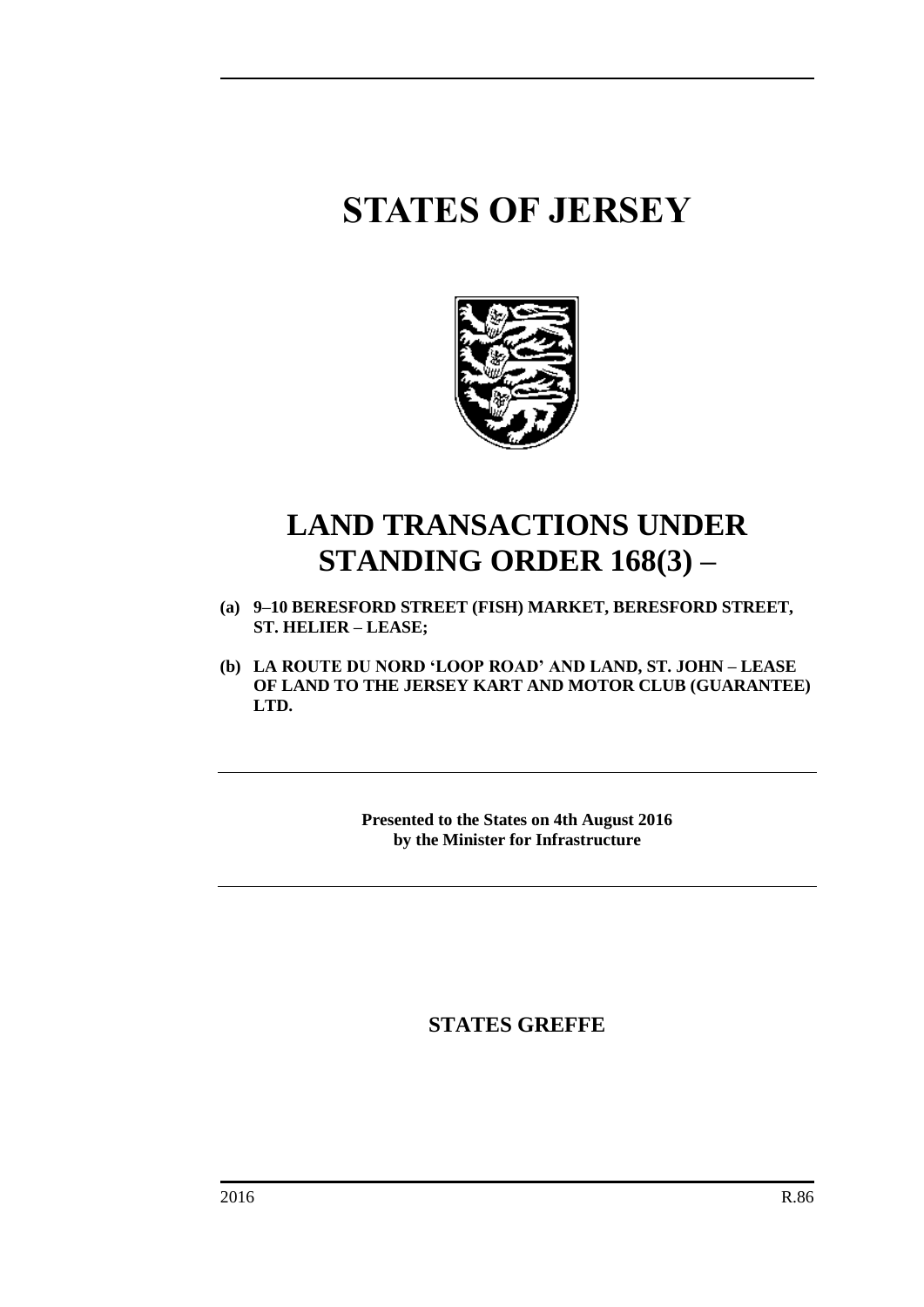# **STATES OF JERSEY**



## **LAND TRANSACTIONS UNDER STANDING ORDER 168(3) –**

- **(a) 9–10 BERESFORD STREET (FISH) MARKET, BERESFORD STREET, ST. HELIER – LEASE;**
- **(b) LA ROUTE DU NORD 'LOOP ROAD' AND LAND, ST. JOHN – LEASE OF LAND TO THE JERSEY KART AND MOTOR CLUB (GUARANTEE) LTD.**

**Presented to the States on 4th August 2016 by the Minister for Infrastructure**

**STATES GREFFE**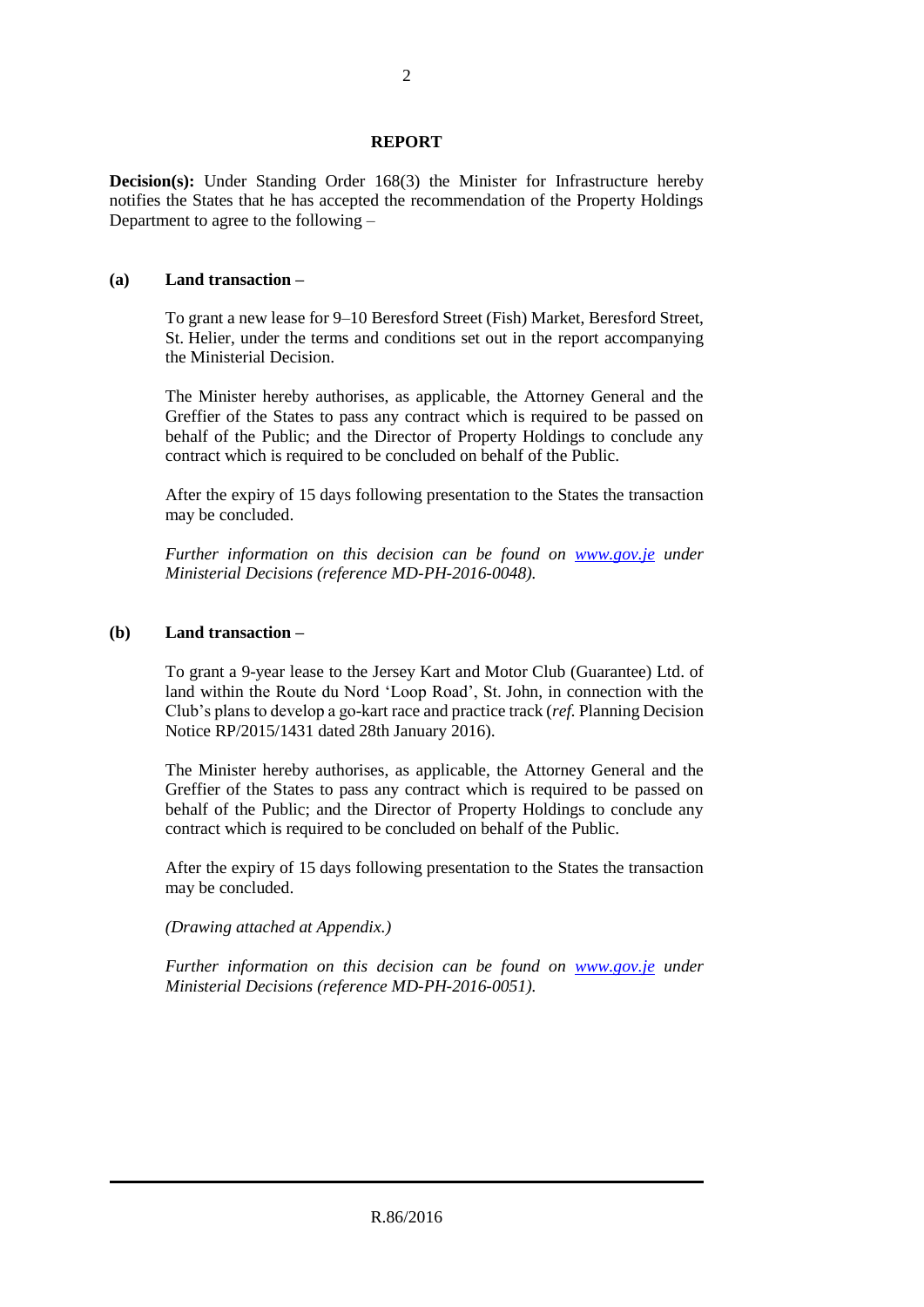#### **REPORT**

**Decision(s):** Under Standing Order 168(3) the Minister for Infrastructure hereby notifies the States that he has accepted the recommendation of the Property Holdings Department to agree to the following –

#### **(a) Land transaction –**

To grant a new lease for 9–10 Beresford Street (Fish) Market, Beresford Street, St. Helier, under the terms and conditions set out in the report accompanying the Ministerial Decision.

The Minister hereby authorises, as applicable, the Attorney General and the Greffier of the States to pass any contract which is required to be passed on behalf of the Public; and the Director of Property Holdings to conclude any contract which is required to be concluded on behalf of the Public.

After the expiry of 15 days following presentation to the States the transaction may be concluded.

*Further information on this decision can be found on [www.gov.je](http://www.gov.je/) under Ministerial Decisions (reference MD-PH-2016-0048).*

### **(b) Land transaction –**

To grant a 9-year lease to the Jersey Kart and Motor Club (Guarantee) Ltd. of land within the Route du Nord 'Loop Road', St. John, in connection with the Club's plans to develop a go-kart race and practice track (*ref.* Planning Decision Notice RP/2015/1431 dated 28th January 2016).

The Minister hereby authorises, as applicable, the Attorney General and the Greffier of the States to pass any contract which is required to be passed on behalf of the Public; and the Director of Property Holdings to conclude any contract which is required to be concluded on behalf of the Public.

After the expiry of 15 days following presentation to the States the transaction may be concluded.

*(Drawing attached at Appendix.)*

*Further information on this decision can be found on [www.gov.je](http://www.gov.je/) under Ministerial Decisions (reference MD-PH-2016-0051).*